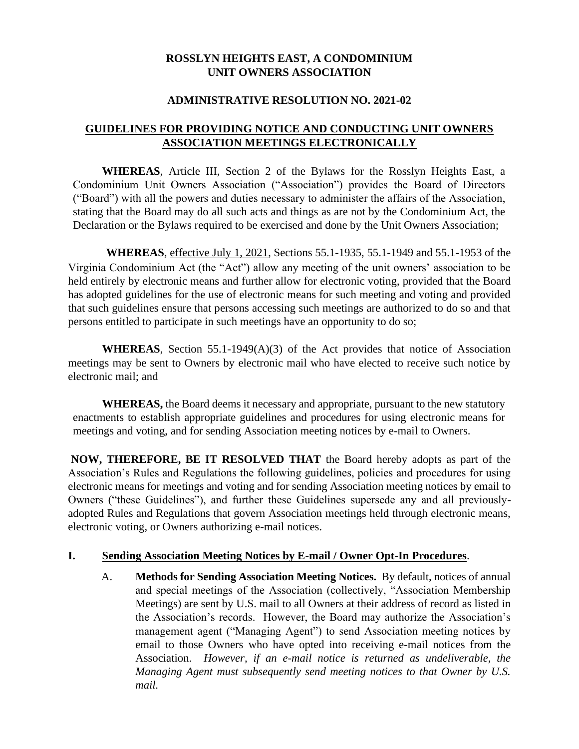### **ROSSLYN HEIGHTS EAST, A CONDOMINIUM UNIT OWNERS ASSOCIATION**

#### **ADMINISTRATIVE RESOLUTION NO. 2021-02**

## **GUIDELINES FOR PROVIDING NOTICE AND CONDUCTING UNIT OWNERS ASSOCIATION MEETINGS ELECTRONICALLY**

**WHEREAS**, Article III, Section 2 of the Bylaws for the Rosslyn Heights East, a Condominium Unit Owners Association ("Association") provides the Board of Directors ("Board") with all the powers and duties necessary to administer the affairs of the Association, stating that the Board may do all such acts and things as are not by the Condominium Act, the Declaration or the Bylaws required to be exercised and done by the Unit Owners Association;

**WHEREAS**, effective July 1, 2021, Sections 55.1-1935, 55.1-1949 and 55.1-1953 of the Virginia Condominium Act (the "Act") allow any meeting of the unit owners' association to be held entirely by electronic means and further allow for electronic voting, provided that the Board has adopted guidelines for the use of electronic means for such meeting and voting and provided that such guidelines ensure that persons accessing such meetings are authorized to do so and that persons entitled to participate in such meetings have an opportunity to do so;

**WHEREAS**, Section 55.1-1949(A)(3) of the Act provides that notice of Association meetings may be sent to Owners by electronic mail who have elected to receive such notice by electronic mail; and

**WHEREAS,** the Board deems it necessary and appropriate, pursuant to the new statutory enactments to establish appropriate guidelines and procedures for using electronic means for meetings and voting, and for sending Association meeting notices by e-mail to Owners.

**NOW, THEREFORE, BE IT RESOLVED THAT** the Board hereby adopts as part of the Association's Rules and Regulations the following guidelines, policies and procedures for using electronic means for meetings and voting and for sending Association meeting notices by email to Owners ("these Guidelines"), and further these Guidelines supersede any and all previouslyadopted Rules and Regulations that govern Association meetings held through electronic means, electronic voting, or Owners authorizing e-mail notices.

#### **I. Sending Association Meeting Notices by E-mail / Owner Opt-In Procedures**.

A. **Methods for Sending Association Meeting Notices.** By default, notices of annual and special meetings of the Association (collectively, "Association Membership Meetings) are sent by U.S. mail to all Owners at their address of record as listed in the Association's records. However, the Board may authorize the Association's management agent ("Managing Agent") to send Association meeting notices by email to those Owners who have opted into receiving e-mail notices from the Association. *However, if an e-mail notice is returned as undeliverable, the Managing Agent must subsequently send meeting notices to that Owner by U.S. mail.*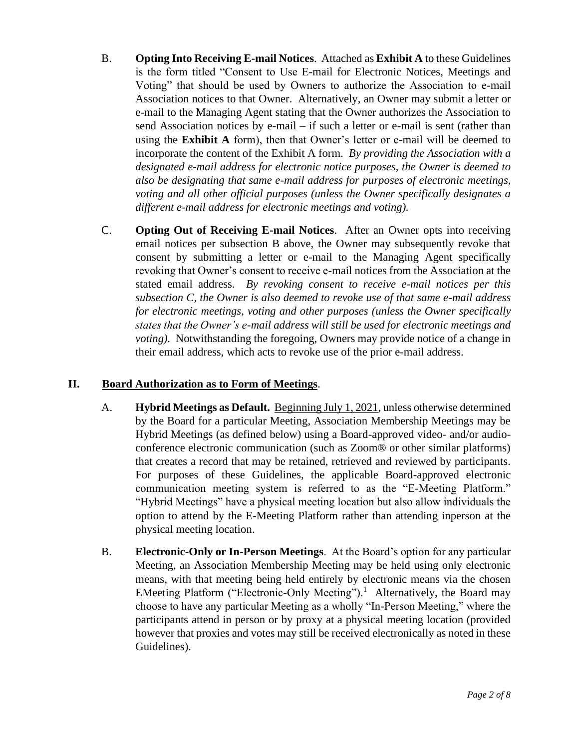- B. **Opting Into Receiving E-mail Notices**. Attached as **Exhibit A** to these Guidelines is the form titled "Consent to Use E-mail for Electronic Notices, Meetings and Voting" that should be used by Owners to authorize the Association to e-mail Association notices to that Owner. Alternatively, an Owner may submit a letter or e-mail to the Managing Agent stating that the Owner authorizes the Association to send Association notices by e-mail – if such a letter or e-mail is sent (rather than using the **Exhibit A** form), then that Owner's letter or e-mail will be deemed to incorporate the content of the Exhibit A form. *By providing the Association with a designated e-mail address for electronic notice purposes, the Owner is deemed to also be designating that same e-mail address for purposes of electronic meetings, voting and all other official purposes (unless the Owner specifically designates a different e-mail address for electronic meetings and voting).*
- C. **Opting Out of Receiving E-mail Notices**. After an Owner opts into receiving email notices per subsection B above, the Owner may subsequently revoke that consent by submitting a letter or e-mail to the Managing Agent specifically revoking that Owner's consent to receive e-mail notices from the Association at the stated email address. *By revoking consent to receive e-mail notices per this subsection C, the Owner is also deemed to revoke use of that same e-mail address for electronic meetings, voting and other purposes (unless the Owner specifically states that the Owner's e-mail address will still be used for electronic meetings and voting*). Notwithstanding the foregoing, Owners may provide notice of a change in their email address, which acts to revoke use of the prior e-mail address.

### **II. Board Authorization as to Form of Meetings**.

- A. **Hybrid Meetings as Default.** Beginning July 1, 2021, unless otherwise determined by the Board for a particular Meeting, Association Membership Meetings may be Hybrid Meetings (as defined below) using a Board-approved video- and/or audioconference electronic communication (such as Zoom® or other similar platforms) that creates a record that may be retained, retrieved and reviewed by participants. For purposes of these Guidelines, the applicable Board-approved electronic communication meeting system is referred to as the "E-Meeting Platform." "Hybrid Meetings" have a physical meeting location but also allow individuals the option to attend by the E-Meeting Platform rather than attending inperson at the physical meeting location.
- B. **Electronic-Only or In-Person Meetings**. At the Board's option for any particular Meeting, an Association Membership Meeting may be held using only electronic means, with that meeting being held entirely by electronic means via the chosen EMeeting Platform ("Electronic-Only Meeting").<sup>1</sup> Alternatively, the Board may choose to have any particular Meeting as a wholly "In-Person Meeting," where the participants attend in person or by proxy at a physical meeting location (provided however that proxies and votes may still be received electronically as noted in these Guidelines).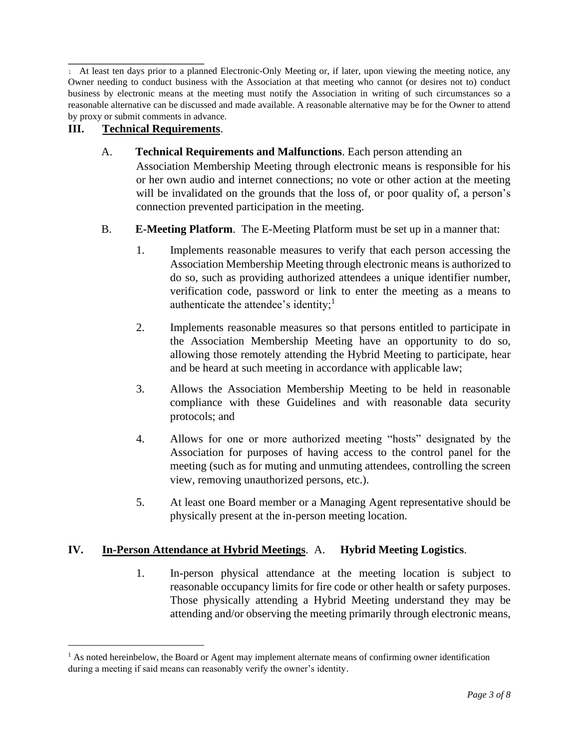<sup>1</sup> At least ten days prior to a planned Electronic-Only Meeting or, if later, upon viewing the meeting notice, any Owner needing to conduct business with the Association at that meeting who cannot (or desires not to) conduct business by electronic means at the meeting must notify the Association in writing of such circumstances so a reasonable alternative can be discussed and made available. A reasonable alternative may be for the Owner to attend by proxy or submit comments in advance.

# **III. Technical Requirements**.

- A. **Technical Requirements and Malfunctions**. Each person attending an Association Membership Meeting through electronic means is responsible for his or her own audio and internet connections; no vote or other action at the meeting will be invalidated on the grounds that the loss of, or poor quality of, a person's connection prevented participation in the meeting.
- B. **E-Meeting Platform**. The E-Meeting Platform must be set up in a manner that:
	- 1. Implements reasonable measures to verify that each person accessing the Association Membership Meeting through electronic means is authorized to do so, such as providing authorized attendees a unique identifier number, verification code, password or link to enter the meeting as a means to authenticate the attendee's identity; $<sup>1</sup>$ </sup>
	- 2. Implements reasonable measures so that persons entitled to participate in the Association Membership Meeting have an opportunity to do so, allowing those remotely attending the Hybrid Meeting to participate, hear and be heard at such meeting in accordance with applicable law;
	- 3. Allows the Association Membership Meeting to be held in reasonable compliance with these Guidelines and with reasonable data security protocols; and
	- 4. Allows for one or more authorized meeting "hosts" designated by the Association for purposes of having access to the control panel for the meeting (such as for muting and unmuting attendees, controlling the screen view, removing unauthorized persons, etc.).
	- 5. At least one Board member or a Managing Agent representative should be physically present at the in-person meeting location.

### **IV. In-Person Attendance at Hybrid Meetings**. A. **Hybrid Meeting Logistics**.

1. In-person physical attendance at the meeting location is subject to reasonable occupancy limits for fire code or other health or safety purposes. Those physically attending a Hybrid Meeting understand they may be attending and/or observing the meeting primarily through electronic means,

 $<sup>1</sup>$  As noted hereinbelow, the Board or Agent may implement alternate means of confirming owner identification</sup> during a meeting if said means can reasonably verify the owner's identity.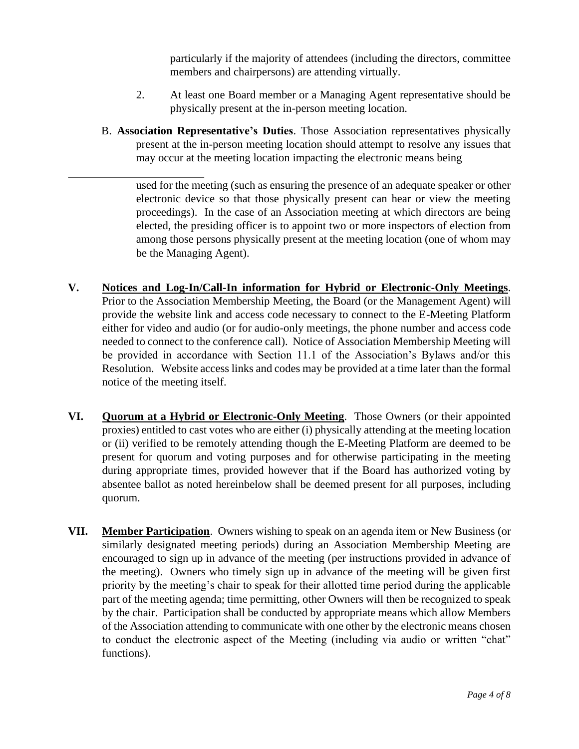particularly if the majority of attendees (including the directors, committee members and chairpersons) are attending virtually.

- 2. At least one Board member or a Managing Agent representative should be physically present at the in-person meeting location.
- B. **Association Representative's Duties**. Those Association representatives physically present at the in-person meeting location should attempt to resolve any issues that may occur at the meeting location impacting the electronic means being

used for the meeting (such as ensuring the presence of an adequate speaker or other electronic device so that those physically present can hear or view the meeting proceedings). In the case of an Association meeting at which directors are being elected, the presiding officer is to appoint two or more inspectors of election from among those persons physically present at the meeting location (one of whom may be the Managing Agent).

- **V. Notices and Log-In/Call-In information for Hybrid or Electronic-Only Meetings**. Prior to the Association Membership Meeting, the Board (or the Management Agent) will provide the website link and access code necessary to connect to the E-Meeting Platform either for video and audio (or for audio-only meetings, the phone number and access code needed to connect to the conference call). Notice of Association Membership Meeting will be provided in accordance with Section 11.1 of the Association's Bylaws and/or this Resolution. Website access links and codes may be provided at a time later than the formal notice of the meeting itself.
- **VI. Quorum at a Hybrid or Electronic-Only Meeting**. Those Owners (or their appointed proxies) entitled to cast votes who are either (i) physically attending at the meeting location or (ii) verified to be remotely attending though the E-Meeting Platform are deemed to be present for quorum and voting purposes and for otherwise participating in the meeting during appropriate times, provided however that if the Board has authorized voting by absentee ballot as noted hereinbelow shall be deemed present for all purposes, including quorum.
- **VII. Member Participation**. Owners wishing to speak on an agenda item or New Business (or similarly designated meeting periods) during an Association Membership Meeting are encouraged to sign up in advance of the meeting (per instructions provided in advance of the meeting). Owners who timely sign up in advance of the meeting will be given first priority by the meeting's chair to speak for their allotted time period during the applicable part of the meeting agenda; time permitting, other Owners will then be recognized to speak by the chair. Participation shall be conducted by appropriate means which allow Members of the Association attending to communicate with one other by the electronic means chosen to conduct the electronic aspect of the Meeting (including via audio or written "chat" functions).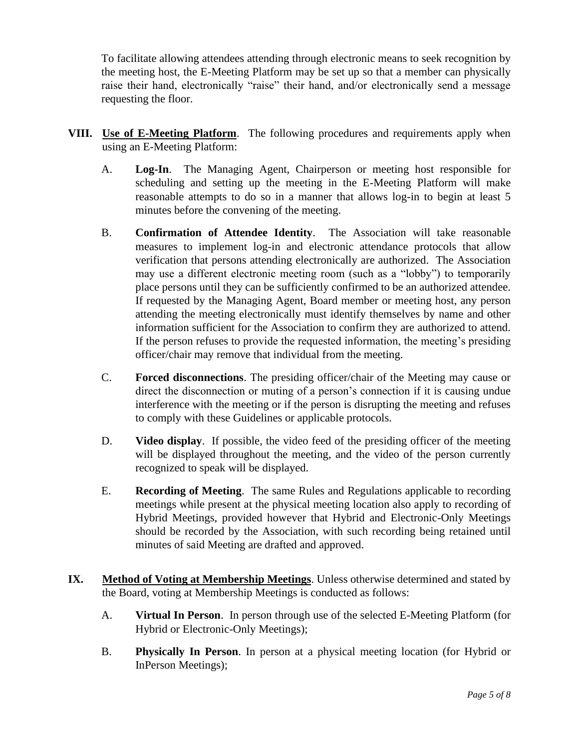To facilitate allowing attendees attending through electronic means to seek recognition by the meeting host, the E-Meeting Platform may be set up so that a member can physically raise their hand, electronically "raise" their hand, and/or electronically send a message requesting the floor.

- **VIII. Use of E-Meeting Platform**. The following procedures and requirements apply when using an E-Meeting Platform:
	- A. **Log-In**.The Managing Agent, Chairperson or meeting host responsible for scheduling and setting up the meeting in the E-Meeting Platform will make reasonable attempts to do so in a manner that allows log-in to begin at least 5 minutes before the convening of the meeting.
	- B. **Confirmation of Attendee Identity**. The Association will take reasonable measures to implement log-in and electronic attendance protocols that allow verification that persons attending electronically are authorized. The Association may use a different electronic meeting room (such as a "lobby") to temporarily place persons until they can be sufficiently confirmed to be an authorized attendee. If requested by the Managing Agent, Board member or meeting host, any person attending the meeting electronically must identify themselves by name and other information sufficient for the Association to confirm they are authorized to attend. If the person refuses to provide the requested information, the meeting's presiding officer/chair may remove that individual from the meeting.
	- C. **Forced disconnections**. The presiding officer/chair of the Meeting may cause or direct the disconnection or muting of a person's connection if it is causing undue interference with the meeting or if the person is disrupting the meeting and refuses to comply with these Guidelines or applicable protocols.
	- D. **Video display**.If possible, the video feed of the presiding officer of the meeting will be displayed throughout the meeting, and the video of the person currently recognized to speak will be displayed.
	- E. **Recording of Meeting**. The same Rules and Regulations applicable to recording meetings while present at the physical meeting location also apply to recording of Hybrid Meetings, provided however that Hybrid and Electronic-Only Meetings should be recorded by the Association, with such recording being retained until minutes of said Meeting are drafted and approved.
- **IX. Method of Voting at Membership Meetings**. Unless otherwise determined and stated by the Board, voting at Membership Meetings is conducted as follows:
	- A. **Virtual In Person**. In person through use of the selected E-Meeting Platform (for Hybrid or Electronic-Only Meetings);
	- B. **Physically In Person**. In person at a physical meeting location (for Hybrid or InPerson Meetings);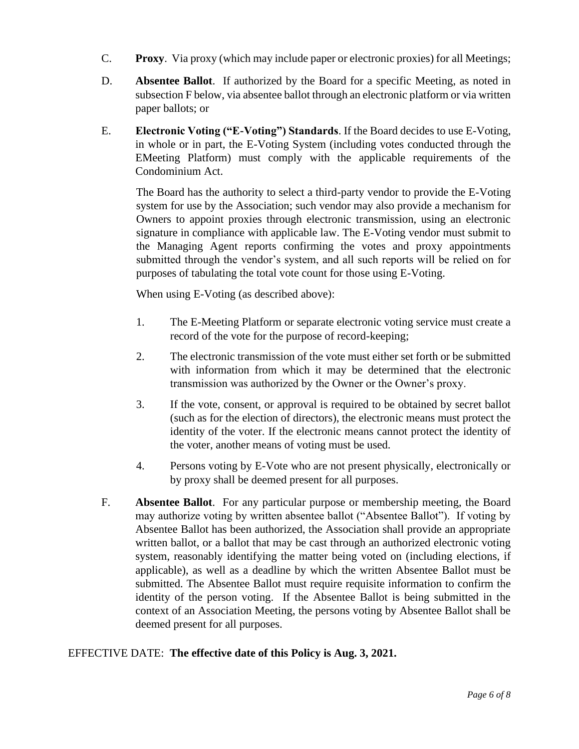- C. **Proxy**. Via proxy (which may include paper or electronic proxies) for all Meetings;
- D. **Absentee Ballot**. If authorized by the Board for a specific Meeting, as noted in subsection F below, via absentee ballot through an electronic platform or via written paper ballots; or
- E. **Electronic Voting ("E-Voting") Standards**. If the Board decides to use E-Voting, in whole or in part, the E-Voting System (including votes conducted through the EMeeting Platform) must comply with the applicable requirements of the Condominium Act.

The Board has the authority to select a third-party vendor to provide the E-Voting system for use by the Association; such vendor may also provide a mechanism for Owners to appoint proxies through electronic transmission, using an electronic signature in compliance with applicable law. The E-Voting vendor must submit to the Managing Agent reports confirming the votes and proxy appointments submitted through the vendor's system, and all such reports will be relied on for purposes of tabulating the total vote count for those using E-Voting.

When using E-Voting (as described above):

- 1. The E-Meeting Platform or separate electronic voting service must create a record of the vote for the purpose of record-keeping;
- 2. The electronic transmission of the vote must either set forth or be submitted with information from which it may be determined that the electronic transmission was authorized by the Owner or the Owner's proxy.
- 3. If the vote, consent, or approval is required to be obtained by secret ballot (such as for the election of directors), the electronic means must protect the identity of the voter. If the electronic means cannot protect the identity of the voter, another means of voting must be used.
- 4. Persons voting by E-Vote who are not present physically, electronically or by proxy shall be deemed present for all purposes.
- F. **Absentee Ballot**. For any particular purpose or membership meeting, the Board may authorize voting by written absentee ballot ("Absentee Ballot"). If voting by Absentee Ballot has been authorized, the Association shall provide an appropriate written ballot, or a ballot that may be cast through an authorized electronic voting system, reasonably identifying the matter being voted on (including elections, if applicable), as well as a deadline by which the written Absentee Ballot must be submitted. The Absentee Ballot must require requisite information to confirm the identity of the person voting. If the Absentee Ballot is being submitted in the context of an Association Meeting, the persons voting by Absentee Ballot shall be deemed present for all purposes.

### EFFECTIVE DATE: **The effective date of this Policy is Aug. 3, 2021.**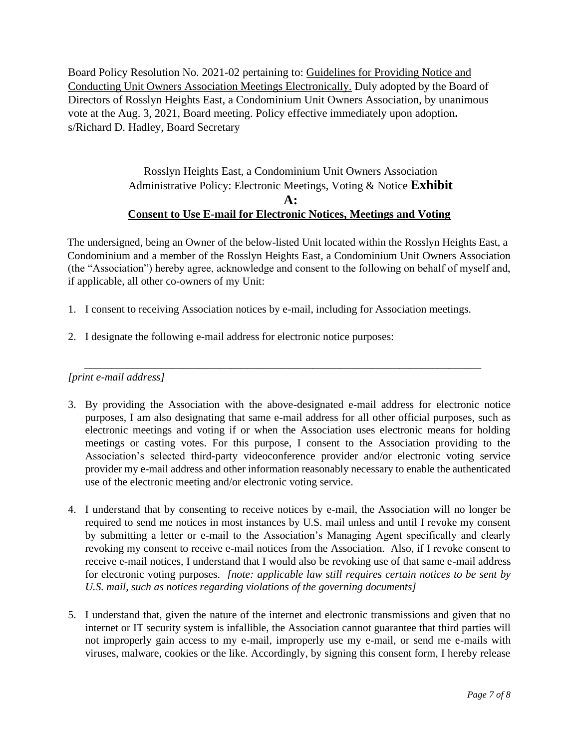Board Policy Resolution No. 2021-02 pertaining to: Guidelines for Providing Notice and Conducting Unit Owners Association Meetings Electronically. Duly adopted by the Board of Directors of Rosslyn Heights East, a Condominium Unit Owners Association, by unanimous vote at the Aug. 3, 2021, Board meeting. Policy effective immediately upon adoption**.**  s/Richard D. Hadley, Board Secretary

> Rosslyn Heights East, a Condominium Unit Owners Association Administrative Policy: Electronic Meetings, Voting & Notice **Exhibit A: Consent to Use E-mail for Electronic Notices, Meetings and Voting**

The undersigned, being an Owner of the below-listed Unit located within the Rosslyn Heights East, a Condominium and a member of the Rosslyn Heights East, a Condominium Unit Owners Association (the "Association") hereby agree, acknowledge and consent to the following on behalf of myself and, if applicable, all other co-owners of my Unit:

- 1. I consent to receiving Association notices by e-mail, including for Association meetings.
- 2. I designate the following e-mail address for electronic notice purposes:

*[print e-mail address]* 

3. By providing the Association with the above-designated e-mail address for electronic notice purposes, I am also designating that same e-mail address for all other official purposes, such as electronic meetings and voting if or when the Association uses electronic means for holding meetings or casting votes. For this purpose, I consent to the Association providing to the Association's selected third-party videoconference provider and/or electronic voting service provider my e-mail address and other information reasonably necessary to enable the authenticated use of the electronic meeting and/or electronic voting service.

\_\_\_\_\_\_\_\_\_\_\_\_\_\_\_\_\_\_\_\_\_\_\_\_\_\_\_\_\_\_\_\_\_\_\_\_\_\_\_\_\_\_\_\_\_\_\_\_\_\_\_\_\_\_\_\_\_\_\_\_\_\_\_\_\_\_\_\_\_\_\_\_\_

- 4. I understand that by consenting to receive notices by e-mail, the Association will no longer be required to send me notices in most instances by U.S. mail unless and until I revoke my consent by submitting a letter or e-mail to the Association's Managing Agent specifically and clearly revoking my consent to receive e-mail notices from the Association. Also, if I revoke consent to receive e-mail notices, I understand that I would also be revoking use of that same e-mail address for electronic voting purposes. *[note: applicable law still requires certain notices to be sent by U.S. mail, such as notices regarding violations of the governing documents]*
- 5. I understand that, given the nature of the internet and electronic transmissions and given that no internet or IT security system is infallible, the Association cannot guarantee that third parties will not improperly gain access to my e-mail, improperly use my e-mail, or send me e-mails with viruses, malware, cookies or the like. Accordingly, by signing this consent form, I hereby release